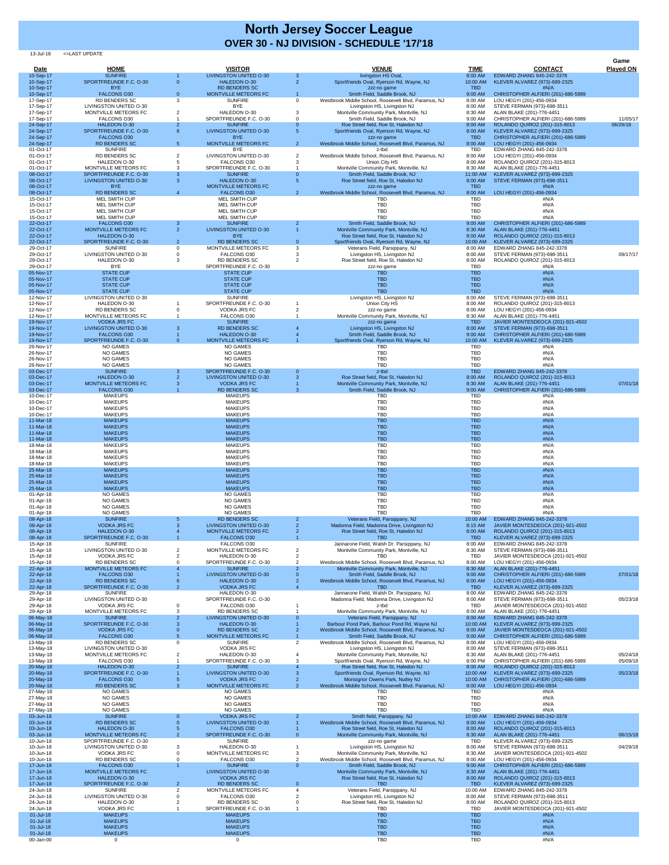13-Jul-18 <=LAST UPDATE

| <b>Date</b>            | <b>HOME</b>                                             |                   | <b>VISITOR</b>                                          |                | <b>VENUE</b>                                                                                    | <b>TIME</b>              | <b>CONTACT</b>                                                          | Game<br><b>Played ON</b> |
|------------------------|---------------------------------------------------------|-------------------|---------------------------------------------------------|----------------|-------------------------------------------------------------------------------------------------|--------------------------|-------------------------------------------------------------------------|--------------------------|
| 10-Sep-17              | <b>SUNFIRE</b>                                          |                   | <b>LIVINGSTON UNITED O-30</b>                           | 3 <sup>2</sup> | livingston HS Oval,                                                                             | 8:00 AM                  | EDWARD ZHANG 845-242-3378                                               |                          |
| 10-Sep-17<br>10-Sep-17 | SPORTFREUNDE F.C. O-30<br><b>BYE</b>                    | $\overline{0}$    | <b>HALEDON O-30</b><br><b>RD BENDERS SC</b>             | 2 <sup>1</sup> | Sportfriends Oval, Ryerson Rd, Wayne, NJ<br>zzz-no game                                         | 10:00 AM<br><b>TBD</b>   | KLEVER ALVAREZ (973)-699-2325<br>#N/A                                   |                          |
| 10-Sep-17<br>17-Sep-17 | <b>FALCONS O30</b><br><b>RD BENDERS SC</b>              | $\Omega$<br>3     | <b>MONTVILLE METEORS FC</b><br><b>SUNFIRE</b>           | $\overline{0}$ | Smith Field, Saddle Brook, NJ<br>Westbrook Middle School, Roosevelt Blvd, Paramus, NJ           | 9:00 AM<br>8:00 AM       | CHRISTOPHER ALFIERI (201)-686-5989<br>LOU HEGYI (201)-456-0934          |                          |
| 17-Sep-17<br>17-Sep-17 | LIVINGSTON UNITED O-30<br>MONTVILLE METEORS FC          |                   | <b>BYE</b><br>HALEDON O-30                              |                | Livingston HS, Livingston NJ<br>Montville Community Park, Montville, NJ                         | 8:00 AM<br>8:30 AM       | STEVE FERMAN (973)-698-3511<br>ALAN BLAKE (201)-776-4451                |                          |
| 17-Sep-17<br>24-Sep-17 | FALCONS O30<br>HALEDON O-30                             | $\overline{2}$    | SPORTFREUNDE F.C. O-30<br><b>SUNFIRE</b>                | $\Omega$       | Smith Field, Saddle Brook, NJ<br>Roe Street field, Roe St, Haledon NJ                           | 9:00 AM<br>8:00 AM       | CHRISTOPHER ALFIERI (201)-686-5989<br>ROLANDO QUIROZ (201)-315-8013     | 11/05/17<br>06/29/18     |
| 24-Sep-17              | SPORTFREUNDE F.C. O-30                                  | 6                 | <b>LIVINGSTON UNITED O-30</b>                           |                | Sportfriends Oval, Ryerson Rd, Wayne, NJ                                                        | 8:00 AM                  | KLEVER ALVAREZ (973)-699-2325                                           |                          |
| 24-Sep-17<br>24-Sep-17 | <b>FALCONS O30</b><br><b>RD BENDERS SC</b>              | 5 <sup>5</sup>    | <b>BYE</b><br>MONTVILLE METEORS FC                      | $\overline{2}$ | zzz-no game<br>Westbrook Middle School, Roosevelt Blvd, Paramus, NJ                             | <b>TBD</b><br>8:00 AM    | CHRISTOPHER ALFIERI (201)-686-5989<br>LOU HEGYI (201)-456-0934          |                          |
| 01-Oct-17<br>01-Oct-17 | <b>SUNFIRE</b><br><b>RD BENDERS SC</b>                  |                   | <b>BYE</b><br><b>LIVINGSTON UNITED O-30</b>             | $\overline{2}$ | z-tbd<br>Westbrook Middle School, Roosevelt Blvd, Paramus, NJ                                   | <b>TBD</b><br>8:00 AM    | EDWARD ZHANG 845-242-3378<br>LOU HEGYI (201)-456-0934                   |                          |
| 01-Oct-17<br>01-Oct-17 | HALEDON O-30<br>MONTVILLE METEORS FC                    |                   | FALCONS O30<br>SPORTFREUNDE F.C. O-30                   |                | Union City HS<br>Montville Community Park, Montville, NJ                                        | 8:00 AM<br>8:30 AM       | ROLANDO QUIROZ (201)-315-8013<br>ALAN BLAKE (201)-776-4451              |                          |
| 08-Oct-17<br>08-Oct-17 | SPORTFREUNDE F.C. O-30<br><b>LIVINGSTON UNITED O-30</b> | 3<br>$\mathbf{3}$ | <b>SUNFIRE</b><br>HALEDON O-30                          | $\Omega$       | Smith Field, Saddle Brook, NJ<br>Roe Street field, Roe St, Haledon NJ                           | 11:00 AM<br>8:00 AM      | KLEVER ALVAREZ (973)-699-2325<br>STEVE FERMAN (973)-698-3511            |                          |
| 08-Oct-17              | <b>BYE</b>                                              |                   | MONTVILLE METEORS FC                                    |                | zzz-no game                                                                                     | <b>TBD</b>               | #N/A                                                                    |                          |
| 08-Oct-17<br>15-Oct-17 | <b>RD BENDERS SC</b><br>MEL SMITH CUP                   | $\overline{4}$    | <b>FALCONS O30</b><br><b>MEL SMITH CUP</b>              | $\overline{2}$ | Westbrook Middle School, Roosevelt Blvd, Paramus, NJ<br><b>TBD</b>                              | 8:00 AM<br><b>TBD</b>    | LOU HEGYI (201)-456-0934<br>#N/A                                        |                          |
| 15-Oct-17<br>15-Oct-17 | MEL SMITH CUP<br>MEL SMITH CUP                          |                   | <b>MEL SMITH CUP</b><br><b>MEL SMITH CUP</b>            |                | <b>TBD</b><br><b>TBD</b>                                                                        | <b>TBD</b><br><b>TBD</b> | #N/A<br>#N/A                                                            |                          |
| 15-Oct-17<br>22-Oct-17 | <b>MEL SMITH CUP</b><br><b>FALCONS O30</b>              | 3                 | <b>MEL SMITH CUP</b><br><b>SUNFIRE</b>                  |                | <b>TBD</b><br>Smith Field, Saddle Brook, NJ                                                     | <b>TBD</b><br>9:00 AM    | #N/A<br>CHRISTOPHER ALFIERI (201)-686-5989                              |                          |
| 22-Oct-17<br>22-Oct-17 | <b>MONTVILLE METEORS FC</b><br><b>HALEDON O-30</b>      | 2 <sup>1</sup>    | <b>LIVINGSTON UNITED O-30</b><br><b>BYE</b>             |                | Montville Community Park, Montville, NJ<br>Roe Street field, Roe St, Haledon NJ                 | 8:30 AM<br>8:00 AM       | ALAN BLAKE (201)-776-4451<br>ROLANDO QUIROZ (201)-315-8013              |                          |
| 22-Oct-17              | SPORTFREUNDE F.C. O-30                                  | 2 <sup>2</sup>    | <b>RD BENDERS SC</b>                                    | $\overline{0}$ | Sportfriends Oval, Ryerson Rd, Wayne, NJ                                                        | 10:00 AM                 | KLEVER ALVAREZ (973)-699-2325                                           |                          |
| 29-Oct-17<br>29-Oct-17 | <b>SUNFIRE</b><br><b>LIVINGSTON UNITED O-30</b>         | $\Omega$          | MONTVILLE METEORS FC<br>FALCONS O30                     | 3              | Veterans Field, Parsippany, NJ<br>Livingston HS, Livingston NJ                                  | 8:00 AM<br>8:00 AM       | EDWARD ZHANG 845-242-3378<br>STEVE FERMAN (973)-698-3511                | 09/17/17                 |
| 29-Oct-17<br>29-Oct-17 | HALEDON O-30<br><b>BYE</b>                              |                   | <b>RD BENDERS SC</b><br>SPORTFREUNDE F.C. O-30          |                | Roe Street field, Roe St, Haledon NJ<br>zzz-no game                                             | 8:00 AM<br><b>TBD</b>    | ROLANDO QUIROZ (201)-315-8013<br>#N/A                                   |                          |
| 05-Nov-17<br>05-Nov-17 | <b>STATE CUP</b><br><b>STATE CUP</b>                    |                   | <b>STATE CUP</b><br><b>STATE CUP</b>                    |                | <b>TBD</b><br><b>TBD</b>                                                                        | <b>TBD</b><br><b>TBD</b> | #N/A<br>#N/A                                                            |                          |
| 05-Nov-17<br>05-Nov-17 | <b>STATE CUP</b><br><b>STATE CUP</b>                    |                   | <b>STATE CUP</b><br><b>STATE CUP</b>                    |                | <b>TBD</b><br><b>TBD</b>                                                                        | <b>TBD</b><br><b>TBD</b> | #N/A<br>#N/A                                                            |                          |
| 12-Nov-17              | LIVINGSTON UNITED O-30                                  |                   | <b>SUNFIRE</b>                                          |                | Livingston HS, Livingston NJ                                                                    | 8:00 AM                  | STEVE FERMAN (973)-698-3511                                             |                          |
| 12-Nov-17<br>12-Nov-17 | HALEDON O-30<br><b>RD BENDERS SC</b>                    |                   | SPORTFREUNDE F.C. O-30<br><b>VODKA JRS FC</b>           |                | Union City HS<br>zzz-no game                                                                    | 8:00 AM<br>8:00 AM       | ROLANDO QUIROZ (201)-315-8013<br>LOU HEGYI (201)-456-0934               |                          |
| 12-Nov-17<br>19-Nov-17 | MONTVILLE METEORS FC<br><b>VODKA JRS FC</b>             |                   | FALCONS O30<br><b>SUNFIRE</b>                           |                | Montville Community Park, Montville, NJ<br>zzz-no game                                          | 8:30 AM<br><b>TBD</b>    | ALAN BLAKE (201)-776-4451<br>JAVIER MONTESDEOCA (201)-921-4502          |                          |
| 19-Nov-17<br>19-Nov-17 | <b>LIVINGSTON UNITED O-30</b><br><b>FALCONS O30</b>     | -3                | <b>RD BENDERS SC</b><br>HALEDON O-30                    |                | Livingston HS, Livingston NJ<br>Smith Field, Saddle Brook, NJ                                   | 8:00 AM<br>9:00 AM       | STEVE FERMAN (973)-698-3511<br>CHRISTOPHER ALFIERI (201)-686-5989       |                          |
| 19-Nov-17<br>26-Nov-17 | SPORTFREUNDE F.C. O-30<br><b>NO GAMES</b>               | $\Omega$          | MONTVILLE METEORS FC<br><b>NO GAMES</b>                 |                | Sportfriends Oval, Ryerson Rd, Wayne, NJ<br>TBD                                                 | 10:00 AM<br><b>TBD</b>   | KLEVER ALVAREZ (973)-699-2325<br>#N/A                                   |                          |
| 26-Nov-17              | <b>NO GAMES</b>                                         |                   | <b>NO GAMES</b>                                         |                | <b>TBD</b>                                                                                      | <b>TBD</b>               | #N/A                                                                    |                          |
| 26-Nov-17<br>26-Nov-17 | NO GAMES<br><b>NO GAMES</b>                             |                   | <b>NO GAMES</b><br><b>NO GAMES</b>                      |                | <b>TBD</b><br><b>TBD</b>                                                                        | <b>TBD</b><br><b>TBD</b> | #N/A<br>#N/A                                                            |                          |
| 03-Dec-17<br>03-Dec-17 | <b>SUNFIRE</b><br><b>HALEDON O-30</b>                   | 3                 | SPORTFREUNDE F.C. O-30<br><b>LIVINGSTON UNITED O-30</b> | $\overline{0}$ | z-tbd<br>Roe Street field, Roe St, Haledon NJ                                                   | <b>TBD</b><br>8:00 AM    | EDWARD ZHANG 845-242-3378<br>ROLANDO QUIROZ (201)-315-8013              |                          |
| 03-Dec-17<br>03-Dec-17 | MONTVILLE METEORS FC<br><b>FALCONS O30</b>              |                   | <b>VODKA JRS FC</b><br><b>RD BENDERS SC</b>             |                | Montville Community Park, Montville, NJ<br>Smith Field, Saddle Brook, NJ                        | 8:30 AM<br>9:00 AM       | ALAN BLAKE (201)-776-4451<br>CHRISTOPHER ALFIERI (201)-686-5989         | 07/01/18                 |
| 10-Dec-17<br>10-Dec-17 | <b>MAKEUPS</b><br><b>MAKEUPS</b>                        |                   | <b>MAKEUPS</b><br><b>MAKEUPS</b>                        |                | TBD<br><b>TBD</b>                                                                               | <b>TBD</b><br><b>TBD</b> | #N/A<br>#N/A                                                            |                          |
| 10-Dec-17              | <b>MAKEUPS</b>                                          |                   | <b>MAKEUPS</b>                                          |                | <b>TBD</b>                                                                                      | <b>TBD</b>               | #N/A                                                                    |                          |
| 10-Dec-17<br>11-Mar-18 | <b>MAKEUPS</b><br><b>MAKEUPS</b>                        |                   | <b>MAKEUPS</b><br><b>MAKEUPS</b>                        |                | <b>TBD</b><br><b>TBD</b>                                                                        | <b>TBD</b><br><b>TBD</b> | #N/A<br>#N/A                                                            |                          |
| 11-Mar-18<br>11-Mar-18 | <b>MAKEUPS</b><br><b>MAKEUPS</b>                        |                   | <b>MAKEUPS</b><br><b>MAKEUPS</b>                        |                | <b>TBD</b><br><b>TBD</b>                                                                        | <b>TBD</b><br><b>TBD</b> | #N/A<br>#N/A                                                            |                          |
| 11-Mar-18<br>18-Mar-18 | <b>MAKEUPS</b><br><b>MAKEUPS</b>                        |                   | <b>MAKEUPS</b><br><b>MAKEUPS</b>                        |                | <b>TBD</b><br><b>TBD</b>                                                                        | <b>TBD</b><br><b>TBD</b> | #N/A<br>#N/A                                                            |                          |
| 18-Mar-18<br>18-Mar-18 | <b>MAKEUPS</b><br><b>MAKEUPS</b>                        |                   | <b>MAKEUPS</b><br><b>MAKEUPS</b>                        |                | <b>TBD</b><br>TBD                                                                               | <b>TBD</b><br><b>TBD</b> | #N/A<br>#N/A                                                            |                          |
| 18-Mar-18              | <b>MAKEUPS</b>                                          |                   | <b>MAKEUPS</b>                                          |                | <b>TBD</b>                                                                                      | <b>TBD</b>               | #N/A                                                                    |                          |
| 25-Mar-18<br>25-Mar-18 | <b>MAKEUPS</b><br><b>MAKEUPS</b>                        |                   | <b>MAKEUPS</b><br><b>MAKEUPS</b>                        |                | <b>TBD</b><br><b>TBD</b>                                                                        | <b>TBD</b><br><b>TBD</b> | #N/A<br>#N/A                                                            |                          |
| 25-Mar-18<br>25-Mar-18 | <b>MAKEUPS</b><br><b>MAKEUPS</b>                        |                   | <b>MAKEUPS</b><br><b>MAKEUPS</b>                        |                | <b>TBD</b><br><b>TBD</b>                                                                        | <b>TBD</b><br><b>TBD</b> | #N/A<br>#N/A                                                            |                          |
| 01-Apr-18<br>01-Apr-18 | NO GAMES<br><b>NO GAMES</b>                             |                   | <b>NO GAMES</b><br><b>NO GAMES</b>                      |                | TBD<br><b>TBD</b>                                                                               | <b>TBD</b><br><b>TBD</b> | #N/A<br>#N/A                                                            |                          |
| 01-Apr-18<br>01-Apr-18 | NO GAMES<br><b>NO GAMES</b>                             |                   | <b>NO GAMES</b><br><b>NO GAMES</b>                      |                | <b>TBD</b><br><b>TBD</b>                                                                        | <b>TBD</b><br><b>TBD</b> | #N/A<br>#N/A                                                            |                          |
| 08-Apr-18              | <b>SUNFIRE</b><br><b>VODKA JRS FC</b>                   |                   | <b>RD BENDERS SC</b><br><b>LIVINGSTON UNITED O-30</b>   |                | Veterans Field, Parsippany, NJ<br>Madonna Field, Madonna Drive, Livingston NJ                   | 10:00 AM                 | EDWARD ZHANG 845-242-3378<br>JAVIER MONTESDEOCA (201)-921-4502          |                          |
| 08-Apr-18<br>08-Apr-18 | HALEDON O-30                                            |                   | <b>MONTVILLE METEORS FC</b>                             |                | Roe Street field, Roe St, Haledon NJ                                                            | 8:15 AM<br>8:00 AM       | ROLANDO QUIROZ (201)-315-8013                                           |                          |
| 08-Apr-18<br>15-Apr-18 | SPORTFREUNDE F.C. O-30<br><b>SUNFIRE</b>                |                   | <b>FALCONS O30</b><br>FALCONS O30                       |                | <b>TBD</b><br>Jannarone Field, Walsh Dr. Parsippany, NJ                                         | <b>TBD</b><br>8:00 AM    | KLEVER ALVAREZ (973)-699-2325<br>EDWARD ZHANG 845-242-3378              |                          |
| 15-Apr-18<br>15-Apr-18 | LIVINGSTON UNITED O-30<br><b>VODKA JRS FC</b>           |                   | MONTVILLE METEORS FC<br>HALEDON O-30                    |                | Montville Community Park, Montville, NJ<br>TBD                                                  | 8:30 AM<br>TBD           | STEVE FERMAN (973)-698-3511<br>JAVIER MONTESDEOCA (201)-921-4502        |                          |
| 15-Apr-18<br>22-Apr-18 | <b>RD BENDERS SC</b><br>MONTVILLE METEORS FC            |                   | SPORTFREUNDE F.C. O-30<br><b>SUNFIRE</b>                |                | Westbrook Middle School, Roosevelt Blvd, Paramus, NJ<br>Montville Community Park, Montville, NJ | 8:00 AM<br>8:30 AM       | LOU HEGYI (201)-456-0934<br>ALAN BLAKE (201)-776-4451                   |                          |
| 22-Apr-18<br>22-Apr-18 | <b>FALCONS O30</b><br><b>RD BENDERS SC</b>              |                   | <b>LIVINGSTON UNITED O-30</b><br><b>HALEDON O-30</b>    |                | Smith Field, Saddle Brook, NJ<br>Westbrook Middle School, Roosevelt Blvd, Paramus, NJ           | 9:00 AM<br>8:00 AM       | CHRISTOPHER ALFIERI (201)-686-5989<br>LOU HEGYI (201)-456-0934          | 07/01/18                 |
| 22-Apr-18              | SPORTFREUNDE F.C. O-30                                  |                   | <b>VODKA JRS FC</b>                                     |                | <b>TBD</b>                                                                                      | <b>TBD</b>               | KLEVER ALVAREZ (973)-699-2325                                           |                          |
| 29-Apr-18<br>29-Apr-18 | <b>SUNFIRE</b><br><b>LIVINGSTON UNITED O-30</b>         |                   | HALEDON O-30<br>SPORTFREUNDE F.C. O-30                  |                | Jannarone Field, Walsh Dr. Parsippany, NJ<br>Madonna Field, Madonna Drive, Livingston NJ        | 8:00 AM<br>8:00 AM       | EDWARD ZHANG 845-242-3378<br>STEVE FERMAN (973)-698-3511                | 05/23/18                 |
| 29-Apr-18<br>29-Apr-18 | <b>VODKA JRS FC</b><br>MONTVILLE METEORS FC             | 3                 | FALCONS O30<br><b>RD BENDERS SC</b>                     |                | z-tbd<br>Montville Community Park, Montville, NJ                                                | TBD<br>8:00 AM           | JAVIER MONTESDEOCA (201)-921-4502<br>ALAN BLAKE (201)-776-4451          |                          |
| 06-May-18<br>06-May-18 | <b>SUNFIRE</b><br>SPORTFREUNDE F.C. O-30                |                   | <b>LIVINGSTON UNITED O-30</b><br><b>HALEDON O-30</b>    |                | Veterans Field, Parsippany, NJ<br>Barbour Pond Park, Barbour Pond Rd, Wayne NJ                  | 8:00 AM<br>10:00 AM      | EDWARD ZHANG 845-242-3378<br>KLEVER ALVAREZ (973)-699-2325              |                          |
| 06-May-18<br>06-May-18 | <b>VODKA JRS FC</b><br><b>FALCONS O30</b>               |                   | <b>RD BENDERS SC</b><br>MONTVILLE METEORS FC            |                | Westbrook Middle School, Roosevelt Blvd, Paramus, NJ<br>Smith Field, Saddle Brook, NJ           | 8:00 AM<br>9:00 AM       | JAVIER MONTESDEOCA (201)-921-4502<br>CHRISTOPHER ALFIERI (201)-686-5989 |                          |
| 13-May-18<br>13-May-18 | <b>RD BENDERS SC</b><br>LIVINGSTON UNITED O-30          |                   | <b>SUNFIRE</b><br><b>VODKA JRS FC</b>                   | $\overline{2}$ | Westbrook Middle School, Roosevelt Blvd, Paramus, NJ<br>Livingston HS, Livingston NJ            | 8:00 AM<br>8:00 AM       | LOU HEGYI (201)-456-0934<br>STEVE FERMAN (973)-698-3511                 |                          |
| 13-May-18              | MONTVILLE METEORS FC                                    |                   | HALEDON O-30                                            |                | Montville Community Park, Montville, NJ                                                         | 8:30 AM                  | ALAN BLAKE (201)-776-4451                                               | 05/24/18                 |
| 13-May-18<br>20-May-18 | FALCONS O30<br>HALEDON O-30                             |                   | SPORTFREUNDE F.C. O-30<br><b>SUNFIRE</b>                |                | Sportfriends Oval, Ryerson Rd, Wayne, NJ<br>Roe Street field, Roe St, Haledon NJ                | 8:00 PM<br>8:00 AM       | CHRISTOPHER ALFIERI (201)-686-5989<br>ROLANDO QUIROZ (201)-315-8013     | 05/09/18                 |
| 20-May-18<br>20-May-18 | SPORTFREUNDE F.C. O-30<br><b>FALCONS O30</b>            |                   | <b>LIVINGSTON UNITED O-30</b><br><b>VODKA JRS FC</b>    |                | Sportfriends Oval, Ryerson Rd, Wayne, NJ<br>Monsignor Owens Park, Nutley NJ                     | 10:00 AM<br>10:00 AM     | KLEVER ALVAREZ (973)-699-2325<br>CHRISTOPHER ALFIERI (201)-686-5989     | 05/23/18                 |
| 20-May-18<br>27-May-18 | <b>RD BENDERS SC</b><br><b>NO GAMES</b>                 |                   | MONTVILLE METEORS FC<br><b>NO GAMES</b>                 |                | Westbrook Middle School, Roosevelt Blvd, Paramus, NJ<br>TBD                                     | 8:00 AM<br><b>TBD</b>    | LOU HEGYI (201)-456-0934<br>#N/A                                        |                          |
| 27-May-18<br>27-May-18 | NO GAMES<br><b>NO GAMES</b>                             |                   | <b>NO GAMES</b><br><b>NO GAMES</b>                      |                | <b>TBD</b><br><b>TBD</b>                                                                        | <b>TBD</b><br><b>TBD</b> | #N/A<br>#N/A                                                            |                          |
| 27-May-18              | <b>NO GAMES</b>                                         |                   | <b>NO GAMES</b>                                         |                | <b>TBD</b>                                                                                      | <b>TBD</b>               | #N/A                                                                    |                          |
| 03-Jun-18<br>03-Jun-18 | <b>SUNFIRE</b><br><b>RD BENDERS SC</b>                  |                   | <b>VODKA JRS FC</b><br><b>LIVINGSTON UNITED O-30</b>    |                | Smith field, Parsippany, NJ<br>Westbrook Middle School, Roosevelt Blvd, Paramus, NJ             | 10:00 AM<br>8:00 AM      | EDWARD ZHANG 845-242-3378<br>LOU HEGYI (201)-456-0934                   |                          |
| 03-Jun-18<br>03-Jun-18 | <b>HALEDON O-30</b><br>MONTVILLE METEORS FC             | 2 <sup>1</sup>    | <b>FALCONS O30</b><br>SPORTFREUNDE F.C. O-30            | U.             | Roe Street field, Roe St, Haledon NJ<br>Montville Community Park, Montville, NJ                 | 8:00 AM<br>8:30 AM       | ROLANDO QUIROZ (201)-315-8013<br>ALAN BLAKE (201)-776-4451              | 06/15/18                 |
| 10-Jun-18<br>10-Jun-18 | SPORTFREUNDE F.C. O-30<br>LIVINGSTON UNITED O-30        |                   | <b>SUNFIRE</b><br>HALEDON O-30                          |                | zzz-no game<br>Livingston HS, Livingston NJ                                                     | <b>TBD</b><br>8:00 AM    | KLEVER ALVAREZ (973)-699-2325<br>STEVE FERMAN (973)-698-3511            | 04/29/18                 |
| 10-Jun-18<br>10-Jun-18 | <b>VODKA JRS FC</b><br><b>RD BENDERS SC</b>             |                   | MONTVILLE METEORS FC<br>FALCONS O30                     |                | Montville Community Park, Montville, NJ<br>Westbrook Middle School, Roosevelt Blvd, Paramus, NJ | 8:30 AM<br>8:00 AM       | JAVIER MONTESDEOCA (201)-921-4502<br>LOU HEGYI (201)-456-0934           |                          |
| 17-Jun-18              | <b>FALCONS O30</b>                                      |                   | <b>SUNFIRE</b>                                          | $\Omega$       | Smith Field, Saddle Brook, NJ                                                                   | 9:00 AM                  | CHRISTOPHER ALFIERI (201)-686-5989                                      |                          |
| 17-Jun-18<br>17-Jun-18 | MONTVILLE METEORS FC<br><b>HALEDON O-30</b>             |                   | <b>LIVINGSTON UNITED O-30</b><br><b>VODKA JRS FC</b>    |                | Montville Community Park, Montville, NJ<br>Roe Street field, Roe St, Haledon NJ                 | 8:30 AM<br>8:00 AM       | ALAN BLAKE (201)-776-4451<br>ROLANDO QUIROZ (201)-315-8013              |                          |
| 17-Jun-18<br>24-Jun-18 | SPORTFREUNDE F.C. O-30<br><b>SUNFIRE</b>                | $\mathbf{2}$<br>2 | <b>RD BENDERS SC</b><br>MONTVILLE METEORS FC            | 0              | <b>TBD</b><br>Veterans Field, Parsippany, NJ                                                    | <b>TBD</b><br>10:00 AM   | KLEVER ALVAREZ (973)-699-2325<br>EDWARD ZHANG 845-242-3378              |                          |
| 24-Jun-18<br>24-Jun-18 | LIVINGSTON UNITED O-30<br>HALEDON O-30                  |                   | FALCONS O30<br><b>RD BENDERS SC</b>                     |                | Livingston HS, Livingston NJ<br>Roe Street field, Roe St, Haledon NJ                            | 8:00 AM<br>8:00 AM       | STEVE FERMAN (973)-698-3511<br>ROLANDO QUIROZ (201)-315-8013            |                          |
| 24-Jun-18<br>01-Jul-18 | <b>VODKA JRS FC</b><br><b>MAKEUPS</b>                   |                   | SPORTFREUNDE F.C. O-30<br><b>MAKEUPS</b>                |                | TBD<br><b>TBD</b>                                                                               | <b>TBD</b><br><b>TBD</b> | JAVIER MONTESDEOCA (201)-921-4502<br>#N/A                               |                          |
| 01-Jul-18<br>01-Jul-18 | <b>MAKEUPS</b><br><b>MAKEUPS</b>                        |                   | <b>MAKEUPS</b><br><b>MAKEUPS</b>                        |                | <b>TBD</b><br><b>TBD</b>                                                                        | <b>TBD</b><br><b>TBD</b> | #N/A<br>#N/A                                                            |                          |
| 01-Jul-18              | <b>MAKEUPS</b>                                          |                   | <b>MAKEUPS</b>                                          |                | <b>TBD</b><br><b>TBD</b>                                                                        | <b>TBD</b><br>TBD        | #N/A<br>#N/A                                                            |                          |
| 00-Jan-00              |                                                         |                   | $\mathbf{0}$                                            |                |                                                                                                 |                          |                                                                         |                          |

## **North Jersey Soccer League OVER 30 - NJ DIVISION - SCHEDULE '17/'18**